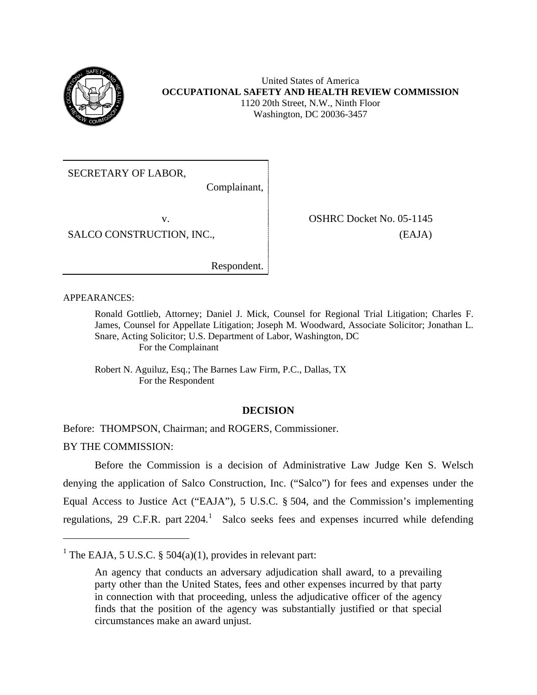

SECRETARY OF LABOR,

Complainant,

SALCO CONSTRUCTION, INC.,  $[EAJA]$ 

v. SHRC Docket No. 05-1145

Respondent.

APPEARANCES:

 $\overline{a}$ 

Ronald Gottlieb, Attorney; Daniel J. Mick, Counsel for Regional Trial Litigation; Charles F. James, Counsel for Appellate Litigation; Joseph M. Woodward, Associate Solicitor; Jonathan L. Snare, Acting Solicitor; U.S. Department of Labor, Washington, DC For the Complainant

Robert N. Aguiluz, Esq.; The Barnes Law Firm, P.C., Dallas, TX For the Respondent

# **DECISION**

Before: THOMPSON, Chairman; and ROGERS, Commissioner. BY THE COMMISSION:

Before the Commission is a decision of Administrative Law Judge Ken S. Welsch denying the application of Salco Construction, Inc. ("Salco") for fees and expenses under the Equal Access to Justice Act ("EAJA"), 5 U.S.C. § 504, and the Commission's implementing regulations, 29 C.F.R. part  $2204$ .<sup>[1](#page-0-0)</sup> Salco seeks fees and expenses incurred while defending

<span id="page-0-0"></span><sup>&</sup>lt;sup>1</sup> The EAJA, 5 U.S.C. § 504(a)(1), provides in relevant part:

An agency that conducts an adversary adjudication shall award, to a prevailing party other than the United States, fees and other expenses incurred by that party in connection with that proceeding, unless the adjudicative officer of the agency finds that the position of the agency was substantially justified or that special circumstances make an award unjust.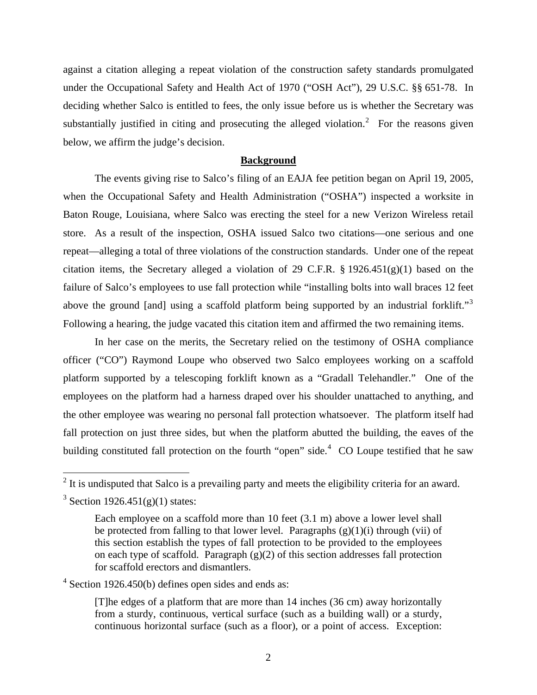against a citation alleging a repeat violation of the construction safety standards promulgated under the Occupational Safety and Health Act of 1970 ("OSH Act"), 29 U.S.C. §§ 651-78. In deciding whether Salco is entitled to fees, the only issue before us is whether the Secretary was substantially justified in citing and prosecuting the alleged violation.<sup>[2](#page-1-0)</sup> For the reasons given below, we affirm the judge's decision.

#### **Background**

above the ground [and] using a scaffold platform being supported by an industrial forklift."<sup>[3](#page-1-1)</sup> The events giving rise to Salco's filing of an EAJA fee petition began on April 19, 2005, when the Occupational Safety and Health Administration ("OSHA") inspected a worksite in Baton Rouge, Louisiana, where Salco was erecting the steel for a new Verizon Wireless retail store. As a result of the inspection, OSHA issued Salco two citations—one serious and one repeat—alleging a total of three violations of the construction standards. Under one of the repeat citation items, the Secretary alleged a violation of 29 C.F.R.  $\S 1926.451(g)(1)$  based on the failure of Salco's employees to use fall protection while "installing bolts into wall braces 12 feet Following a hearing, the judge vacated this citation item and affirmed the two remaining items.

In her case on the merits, the Secretary relied on the testimony of OSHA compliance officer ("CO") Raymond Loupe who observed two Salco employees working on a scaffold platform supported by a telescoping forklift known as a "Gradall Telehandler." One of the employees on the platform had a harness draped over his shoulder unattached to anything, and the other employee was wearing no personal fall protection whatsoever. The platform itself had fall protection on just three sides, but when the platform abutted the building, the eaves of the building constituted fall protection on the fourth "open" side.<sup>[4](#page-1-2)</sup> CO Loupe testified that he saw

<span id="page-1-2"></span><sup>4</sup> Section 1926.450(b) defines open sides and ends as:

[T]he edges of a platform that are more than 14 inches (36 cm) away horizontally from a sturdy, continuous, vertical surface (such as a building wall) or a sturdy, continuous horizontal surface (such as a floor), or a point of access. Exception:

<span id="page-1-0"></span><sup>&</sup>lt;sup>2</sup> It is undisputed that Salco is a prevailing party and meets the eligibility criteria for an award.

<span id="page-1-1"></span><sup>&</sup>lt;sup>3</sup> Section 1926.451(g)(1) states:

Each employee on a scaffold more than 10 feet (3.1 m) above a lower level shall be protected from falling to that lower level. Paragraphs  $(g)(1)(i)$  through (vii) of this section establish the types of fall protection to be provided to the employees on each type of scaffold. Paragraph  $(g)(2)$  of this section addresses fall protection for scaffold erectors and dismantlers.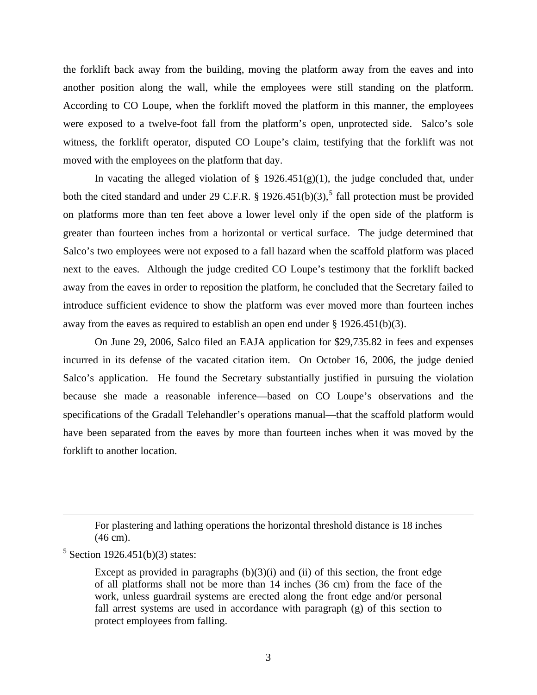the forklift back away from the building, moving the platform away from the eaves and into another position along the wall, while the employees were still standing on the platform. According to CO Loupe, when the forklift moved the platform in this manner, the employees were exposed to a twelve-foot fall from the platform's open, unprotected side. Salco's sole witness, the forklift operator, disputed CO Loupe's claim, testifying that the forklift was not moved with the employees on the platform that day.

In vacating the alleged violation of  $\S$  1926.451(g)(1), the judge concluded that, under both the cited standard and under 29 C.F.R. § 1926.4[5](#page-2-0)1(b)(3),<sup>5</sup> fall protection must be provided on platforms more than ten feet above a lower level only if the open side of the platform is greater than fourteen inches from a horizontal or vertical surface. The judge determined that Salco's two employees were not exposed to a fall hazard when the scaffold platform was placed next to the eaves. Although the judge credited CO Loupe's testimony that the forklift backed away from the eaves in order to reposition the platform, he concluded that the Secretary failed to introduce sufficient evidence to show the platform was ever moved more than fourteen inches away from the eaves as required to establish an open end under  $\S 1926.451(b)(3)$ .

On June 29, 2006, Salco filed an EAJA application for \$29,735.82 in fees and expenses incurred in its defense of the vacated citation item. On October 16, 2006, the judge denied Salco's application. He found the Secretary substantially justified in pursuing the violation because she made a reasonable inference—based on CO Loupe's observations and the specifications of the Gradall Telehandler's operations manual—that the scaffold platform would have been separated from the eaves by more than fourteen inches when it was moved by the forklift to another location.

1

For plastering and lathing operations the horizontal threshold distance is 18 inches (46 cm).

<span id="page-2-0"></span> $5$  Section 1926.451(b)(3) states:

Except as provided in paragraphs  $(b)(3)(i)$  and (ii) of this section, the front edge of all platforms shall not be more than 14 inches (36 cm) from the face of the work, unless guardrail systems are erected along the front edge and/or personal fall arrest systems are used in accordance with paragraph (g) of this section to protect employees from falling.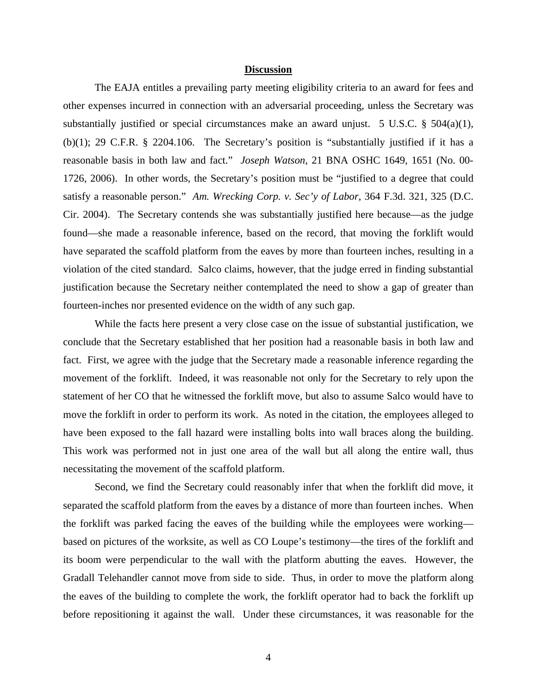#### **Discussion**

The EAJA entitles a prevailing party meeting eligibility criteria to an award for fees and other expenses incurred in connection with an adversarial proceeding, unless the Secretary was substantially justified or special circumstances make an award unjust. 5 U.S.C.  $\S$  504(a)(1), (b)(1); 29 C.F.R. § 2204.106. The Secretary's position is "substantially justified if it has a reasonable basis in both law and fact." *Joseph Watson*, 21 BNA OSHC 1649, 1651 (No. 00 1726, 2006). In other words, the Secretary's position must be "justified to a degree that could satisfy a reasonable person." *Am. Wrecking Corp. v. Sec'y of Labor*, 364 F.3d. 321, 325 (D.C. Cir. 2004). The Secretary contends she was substantially justified here because—as the judge found—she made a reasonable inference, based on the record, that moving the forklift would have separated the scaffold platform from the eaves by more than fourteen inches, resulting in a violation of the cited standard. Salco claims, however, that the judge erred in finding substantial justification because the Secretary neither contemplated the need to show a gap of greater than fourteen-inches nor presented evidence on the width of any such gap.

have been exposed to the fall hazard were installing bolts into wall braces along the building. While the facts here present a very close case on the issue of substantial justification, we conclude that the Secretary established that her position had a reasonable basis in both law and fact. First, we agree with the judge that the Secretary made a reasonable inference regarding the movement of the forklift. Indeed, it was reasonable not only for the Secretary to rely upon the statement of her CO that he witnessed the forklift move, but also to assume Salco would have to move the forklift in order to perform its work. As noted in the citation, the employees alleged to This work was performed not in just one area of the wall but all along the entire wall, thus necessitating the movement of the scaffold platform.

Second, we find the Secretary could reasonably infer that when the forklift did move, it separated the scaffold platform from the eaves by a distance of more than fourteen inches. When the forklift was parked facing the eaves of the building while the employees were working based on pictures of the worksite, as well as CO Loupe's testimony—the tires of the forklift and its boom were perpendicular to the wall with the platform abutting the eaves. However, the Gradall Telehandler cannot move from side to side. Thus, in order to move the platform along the eaves of the building to complete the work, the forklift operator had to back the forklift up before repositioning it against the wall. Under these circumstances, it was reasonable for the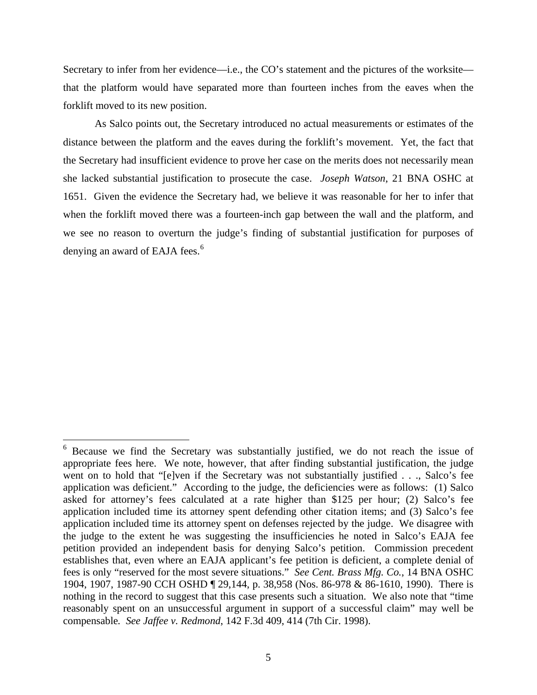Secretary to infer from her evidence—i.e., the CO's statement and the pictures of the worksite that the platform would have separated more than fourteen inches from the eaves when the forklift moved to its new position.

As Salco points out, the Secretary introduced no actual measurements or estimates of the distance between the platform and the eaves during the forklift's movement. Yet, the fact that the Secretary had insufficient evidence to prove her case on the merits does not necessarily mean she lacked substantial justification to prosecute the case. *Joseph Watson*, 21 BNA OSHC at 1651. Given the evidence the Secretary had, we believe it was reasonable for her to infer that when the forklift moved there was a fourteen-inch gap between the wall and the platform, and we see no reason to overturn the judge's finding of substantial justification for purposes of denying an award of EAJA fees.<sup>6</sup>

<span id="page-4-0"></span><sup>&</sup>lt;sup>6</sup> Because we find the Secretary was substantially justified, we do not reach the issue of appropriate fees here. We note, however, that after finding substantial justification, the judge went on to hold that "[e]ven if the Secretary was not substantially justified . . ., Salco's fee application was deficient." According to the judge, the deficiencies were as follows: (1) Salco asked for attorney's fees calculated at a rate higher than \$125 per hour; (2) Salco's fee application included time its attorney spent defending other citation items; and (3) Salco's fee application included time its attorney spent on defenses rejected by the judge. We disagree with the judge to the extent he was suggesting the insufficiencies he noted in Salco's EAJA fee petition provided an independent basis for denying Salco's petition. Commission precedent establishes that, even where an EAJA applicant's fee petition is deficient, a complete denial of fees is only "reserved for the most severe situations." *See Cent. Brass Mfg. Co.*, 14 BNA OSHC 1904, 1907, 1987-90 CCH OSHD ¶ 29,144, p. 38,958 (Nos. 86-978 & 86-1610, 1990). There is nothing in the record to suggest that this case presents such a situation. We also note that "time reasonably spent on an unsuccessful argument in support of a successful claim" may well be compensable*. See Jaffee v. Redmond*, 142 F.3d 409, 414 (7th Cir. 1998).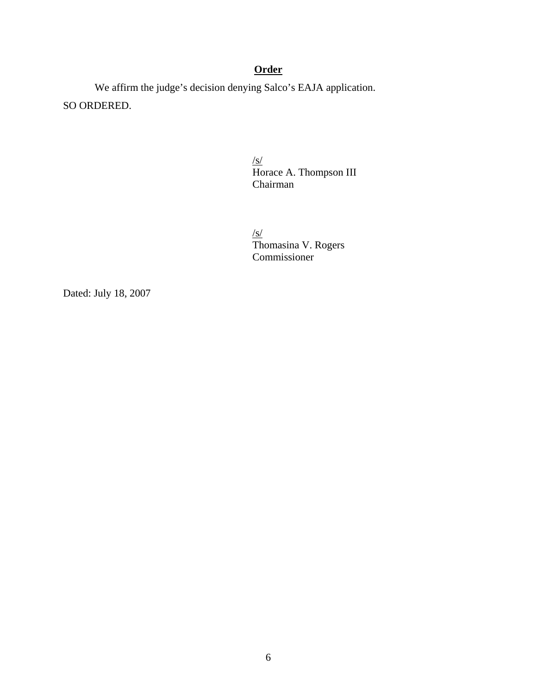# **Order**

We affirm the judge's decision denying Salco's EAJA application. SO ORDERED.

> $\frac{S}{S}$ Horace A. Thompson III Chairman

/s/<br>Thomasina V. Rogers Commissioner

Dated: July 18, 2007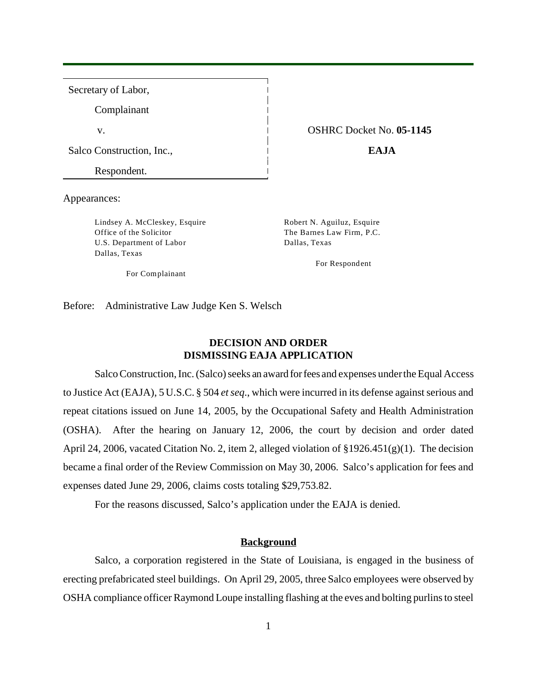Secretary of Labor, Complainant v. OSHRC Docket No. **05-1145**  Salco Construction, Inc., **EAJA** Respondent.

Appearances:

Lindsey A. McCleskey, Esquire Robert N. Aguiluz, Esquire Office of the Solicitor The Barnes Law Firm, P.C. U.S. Department of Labor Dallas, Texas Dallas, Texas

For Respondent

For Complainant

Before: Administrative Law Judge Ken S. Welsch

## **DECISION AND ORDER DISMISSING EAJA APPLICATION**

Salco Construction, Inc. (Salco) seeks an award for fees and expenses under the Equal Access to Justice Act (EAJA), 5 U.S.C. § 504 *et seq*., which were incurred in its defense against serious and repeat citations issued on June 14, 2005, by the Occupational Safety and Health Administration (OSHA). After the hearing on January 12, 2006, the court by decision and order dated April 24, 2006, vacated Citation No. 2, item 2, alleged violation of §1926.451(g)(1). The decision became a final order of the Review Commission on May 30, 2006. Salco's application for fees and expenses dated June 29, 2006, claims costs totaling \$29,753.82.

For the reasons discussed, Salco's application under the EAJA is denied.

### **Background**

Salco, a corporation registered in the State of Louisiana, is engaged in the business of erecting prefabricated steel buildings. On April 29, 2005, three Salco employees were observed by OSHA compliance officer Raymond Loupe installing flashing at the eves and bolting purlins to steel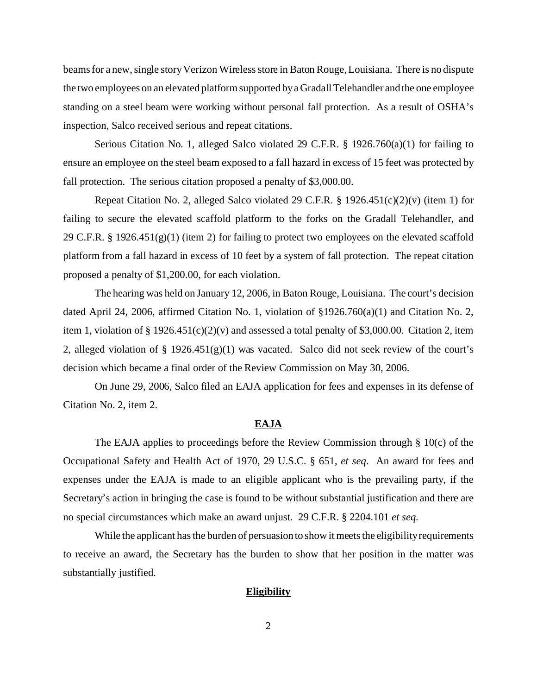beams for a new, single story Verizon Wireless store in Baton Rouge, Louisiana. There is no dispute the two employees on an elevated platform supported by a Gradall Telehandler and the one employee standing on a steel beam were working without personal fall protection. As a result of OSHA's inspection, Salco received serious and repeat citations.

Serious Citation No. 1, alleged Salco violated 29 C.F.R. § 1926.760(a)(1) for failing to ensure an employee on the steel beam exposed to a fall hazard in excess of 15 feet was protected by fall protection. The serious citation proposed a penalty of \$3,000.00.

Repeat Citation No. 2, alleged Salco violated 29 C.F.R. § 1926.451(c)(2)(v) (item 1) for failing to secure the elevated scaffold platform to the forks on the Gradall Telehandler, and 29 C.F.R. § 1926.451(g)(1) (item 2) for failing to protect two employees on the elevated scaffold platform from a fall hazard in excess of 10 feet by a system of fall protection. The repeat citation proposed a penalty of \$1,200.00, for each violation.

The hearing was held on January 12, 2006, in Baton Rouge, Louisiana. The court's decision dated April 24, 2006, affirmed Citation No. 1, violation of §1926.760(a)(1) and Citation No. 2, item 1, violation of  $\S 1926.451(c)(2)(v)$  and assessed a total penalty of \$3,000.00. Citation 2, item 2, alleged violation of § 1926.451(g)(1) was vacated. Salco did not seek review of the court's decision which became a final order of the Review Commission on May 30, 2006.

On June 29, 2006, Salco filed an EAJA application for fees and expenses in its defense of Citation No. 2, item 2.

#### **EAJA**

 no special circumstances which make an award unjust. 29 C.F.R. § 2204.101 *et seq.* The EAJA applies to proceedings before the Review Commission through § 10(c) of the Occupational Safety and Health Act of 1970, 29 U.S.C. § 651, *et seq*. An award for fees and expenses under the EAJA is made to an eligible applicant who is the prevailing party, if the Secretary's action in bringing the case is found to be without substantial justification and there are

While the applicant has the burden of persuasion to show it meets the eligibility requirements to receive an award, the Secretary has the burden to show that her position in the matter was substantially justified.

#### **Eligibility**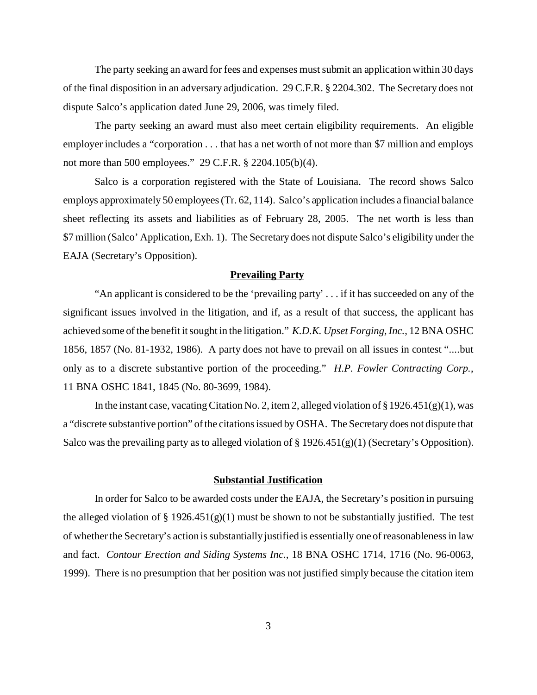The party seeking an award for fees and expenses must submit an application within 30 days of the final disposition in an adversary adjudication. 29 C.F.R. § 2204.302. The Secretary does not dispute Salco's application dated June 29, 2006, was timely filed.

The party seeking an award must also meet certain eligibility requirements. An eligible employer includes a "corporation . . . that has a net worth of not more than \$7 million and employs not more than 500 employees." 29 C.F.R. § 2204.105(b)(4).

Salco is a corporation registered with the State of Louisiana. The record shows Salco employs approximately 50 employees (Tr. 62, 114). Salco's application includes a financial balance sheet reflecting its assets and liabilities as of February 28, 2005. The net worth is less than \$7 million (Salco' Application, Exh. 1). The Secretary does not dispute Salco's eligibility under the EAJA (Secretary's Opposition).

### **Prevailing Party**

"An applicant is considered to be the 'prevailing party' . . . if it has succeeded on any of the significant issues involved in the litigation, and if, as a result of that success, the applicant has achieved some of the benefit it sought in the litigation." *K.D.K. Upset Forging, Inc.*, 12 BNA OSHC 1856, 1857 (No. 81-1932, 1986). A party does not have to prevail on all issues in contest "....but only as to a discrete substantive portion of the proceeding." *H.P. Fowler Contracting Corp.*, 11 BNA OSHC 1841, 1845 (No. 80-3699, 1984).

In the instant case, vacating Citation No. 2, item 2, alleged violation of  $\S 1926.451(g)(1)$ , was a "discrete substantive portion" of the citations issued by OSHA. The Secretary does not dispute that Salco was the prevailing party as to alleged violation of  $\S 1926.451(g)(1)$  (Secretary's Opposition).

### **Substantial Justification**

 1999). There is no presumption that her position was not justified simply because the citation item In order for Salco to be awarded costs under the EAJA, the Secretary's position in pursuing the alleged violation of  $\S 1926.451(g)(1)$  must be shown to not be substantially justified. The test of whether the Secretary's action is substantially justified is essentially one of reasonableness in law and fact. *Contour Erection and Siding Systems Inc.,* 18 BNA OSHC 1714, 1716 (No. 96-0063,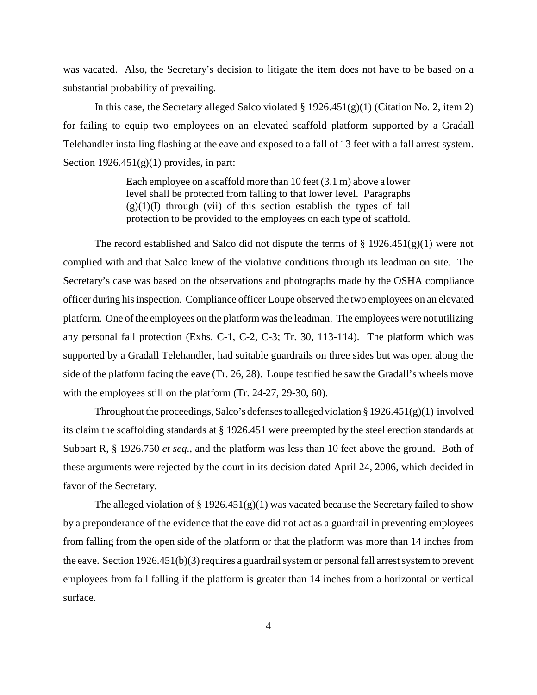was vacated. Also, the Secretary's decision to litigate the item does not have to be based on a substantial probability of prevailing.

In this case, the Secretary alleged Salco violated  $\S 1926.451(g)(1)$  (Citation No. 2, item 2) for failing to equip two employees on an elevated scaffold platform supported by a Gradall Telehandler installing flashing at the eave and exposed to a fall of 13 feet with a fall arrest system. Section  $1926.451(g)(1)$  provides, in part:

> Each employee on a scaffold more than 10 feet (3.1 m) above a lower level shall be protected from falling to that lower level. Paragraphs  $(g)(1)(I)$  through (vii) of this section establish the types of fall protection to be provided to the employees on each type of scaffold.

The record established and Salco did not dispute the terms of  $\S 1926.451(g)(1)$  were not complied with and that Salco knew of the violative conditions through its leadman on site. The Secretary's case was based on the observations and photographs made by the OSHA compliance officer during his inspection. Compliance officer Loupe observed the two employees on an elevated platform. One of the employees on the platform was the leadman. The employees were not utilizing any personal fall protection (Exhs. C-1, C-2, C-3; Tr. 30, 113-114). The platform which was supported by a Gradall Telehandler, had suitable guardrails on three sides but was open along the side of the platform facing the eave (Tr. 26, 28). Loupe testified he saw the Gradall's wheels move with the employees still on the platform (Tr. 24-27, 29-30, 60).

Throughout the proceedings, Salco's defenses to alleged violation  $\S 1926.451(g)(1)$  involved its claim the scaffolding standards at § 1926.451 were preempted by the steel erection standards at Subpart R, § 1926.750 *et seq*., and the platform was less than 10 feet above the ground. Both of these arguments were rejected by the court in its decision dated April 24, 2006, which decided in favor of the Secretary.

The alleged violation of § 1926.451(g)(1) was vacated because the Secretary failed to show by a preponderance of the evidence that the eave did not act as a guardrail in preventing employees from falling from the open side of the platform or that the platform was more than 14 inches from the eave. Section 1926.451(b)(3) requires a guardrail system or personal fall arrest system to prevent employees from fall falling if the platform is greater than 14 inches from a horizontal or vertical surface.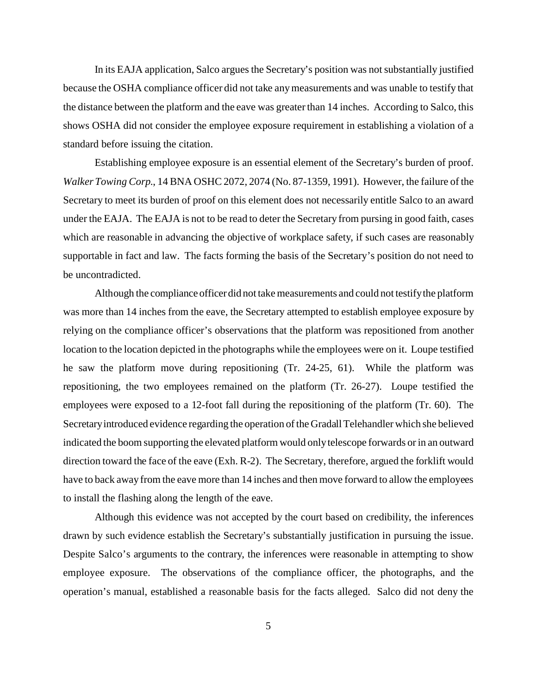In its EAJA application, Salco argues the Secretary's position was not substantially justified because the OSHA compliance officer did not take any measurements and was unable to testify that the distance between the platform and the eave was greater than 14 inches. According to Salco, this shows OSHA did not consider the employee exposure requirement in establishing a violation of a standard before issuing the citation.

Establishing employee exposure is an essential element of the Secretary's burden of proof. *Walker Towing Corp*., 14 BNA OSHC 2072, 2074 (No. 87-1359, 1991). However, the failure of the Secretary to meet its burden of proof on this element does not necessarily entitle Salco to an award under the EAJA. The EAJA is not to be read to deter the Secretary from pursing in good faith, cases which are reasonable in advancing the objective of workplace safety, if such cases are reasonably supportable in fact and law. The facts forming the basis of the Secretary's position do not need to be uncontradicted.

Although the compliance officer did not take measurements and could not testify the platform was more than 14 inches from the eave, the Secretary attempted to establish employee exposure by relying on the compliance officer's observations that the platform was repositioned from another location to the location depicted in the photographs while the employees were on it. Loupe testified he saw the platform move during repositioning (Tr. 24-25, 61). While the platform was repositioning, the two employees remained on the platform (Tr. 26-27). Loupe testified the employees were exposed to a 12-foot fall during the repositioning of the platform (Tr. 60). The Secretaryintroduced evidence regarding the operation of the Gradall Telehandler which she believed indicated the boom supporting the elevated platform would only telescope forwards or in an outward direction toward the face of the eave (Exh. R-2). The Secretary, therefore, argued the forklift would have to back away from the eave more than 14 inches and then move forward to allow the employees to install the flashing along the length of the eave.

Although this evidence was not accepted by the court based on credibility, the inferences drawn by such evidence establish the Secretary's substantially justification in pursuing the issue. Despite Salco's arguments to the contrary, the inferences were reasonable in attempting to show employee exposure. The observations of the compliance officer, the photographs, and the operation's manual, established a reasonable basis for the facts alleged. Salco did not deny the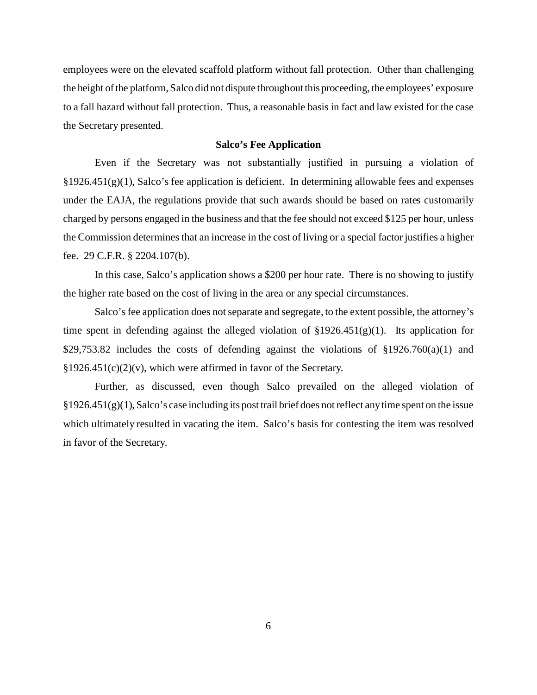employees were on the elevated scaffold platform without fall protection. Other than challenging the height of the platform, Salco did not dispute throughout this proceeding, the employees' exposure to a fall hazard without fall protection. Thus, a reasonable basis in fact and law existed for the case the Secretary presented.

### **Salco's Fee Application**

Even if the Secretary was not substantially justified in pursuing a violation of  $§1926.451(g)(1)$ , Salco's fee application is deficient. In determining allowable fees and expenses under the EAJA, the regulations provide that such awards should be based on rates customarily charged by persons engaged in the business and that the fee should not exceed \$125 per hour, unless the Commission determines that an increase in the cost of living or a special factor justifies a higher fee. 29 C.F.R. § 2204.107(b).

In this case, Salco's application shows a \$200 per hour rate. There is no showing to justify the higher rate based on the cost of living in the area or any special circumstances.

Salco's fee application does not separate and segregate, to the extent possible, the attorney's time spent in defending against the alleged violation of  $\S 1926.451(g)(1)$ . Its application for \$29,753.82 includes the costs of defending against the violations of  $\S 1926.760(a)(1)$  and  $§1926.451(c)(2)(v)$ , which were affirmed in favor of the Secretary.

Further, as discussed, even though Salco prevailed on the alleged violation of  $§1926.451(g)(1)$ , Salco's case including its post trail brief does not reflect any time spent on the issue which ultimately resulted in vacating the item. Salco's basis for contesting the item was resolved in favor of the Secretary.